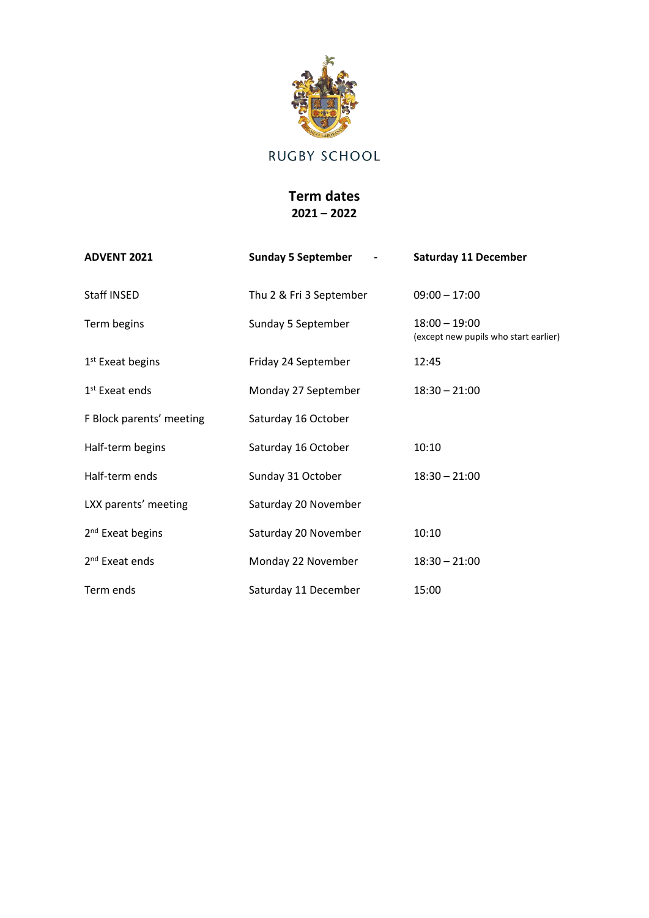

## RUGBY SCHOOL

## **Term dates 2021 – 2022**

| <b>ADVENT 2021</b>           | <b>Sunday 5 September</b> | <b>Saturday 11 December</b>                              |
|------------------------------|---------------------------|----------------------------------------------------------|
| Staff INSED                  | Thu 2 & Fri 3 September   | $09:00 - 17:00$                                          |
| Term begins                  | Sunday 5 September        | $18:00 - 19:00$<br>(except new pupils who start earlier) |
| $1st$ Exeat begins           | Friday 24 September       | 12:45                                                    |
| $1st$ Exeat ends             | Monday 27 September       | $18:30 - 21:00$                                          |
| F Block parents' meeting     | Saturday 16 October       |                                                          |
| Half-term begins             | Saturday 16 October       | 10:10                                                    |
| Half-term ends               | Sunday 31 October         | $18:30 - 21:00$                                          |
| LXX parents' meeting         | Saturday 20 November      |                                                          |
| 2 <sup>nd</sup> Exeat begins | Saturday 20 November      | 10:10                                                    |
| 2 <sup>nd</sup> Exeat ends   | Monday 22 November        | $18:30 - 21:00$                                          |
| Term ends                    | Saturday 11 December      | 15:00                                                    |